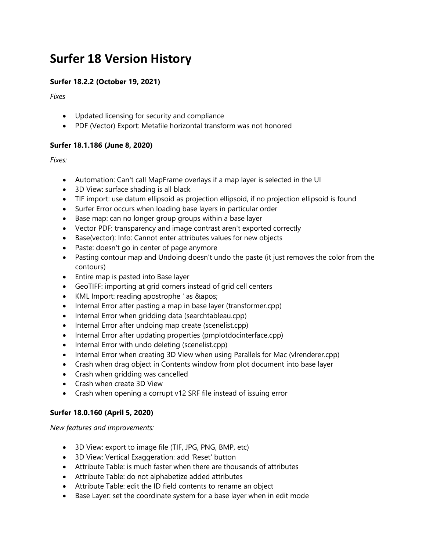# **Surfer 18 Version History**

## **Surfer 18.2.2 (October 19, 2021)**

*Fixes*

- Updated licensing for security and compliance
- PDF (Vector) Export: Metafile horizontal transform was not honored

### **Surfer 18.1.186 (June 8, 2020)**

*Fixes:*

- Automation: Can't call MapFrame overlays if a map layer is selected in the UI
- 3D View: surface shading is all black
- TIF import: use datum ellipsoid as projection ellipsoid, if no projection ellipsoid is found
- Surfer Error occurs when loading base layers in particular order
- Base map: can no longer group groups within a base layer
- Vector PDF: transparency and image contrast aren't exported correctly
- Base(vector): Info: Cannot enter attributes values for new objects
- Paste: doesn't go in center of page anymore
- Pasting contour map and Undoing doesn't undo the paste (it just removes the color from the contours)
- Entire map is pasted into Base layer
- GeoTIFF: importing at grid corners instead of grid cell centers
- KML Import: reading apostrophe ' as & apos;
- Internal Error after pasting a map in base layer (transformer.cpp)
- Internal Error when gridding data (searchtableau.cpp)
- Internal Error after undoing map create (scenelist.cpp)
- Internal Error after updating properties (pmplotdocinterface.cpp)
- Internal Error with undo deleting (scenelist.cpp)
- Internal Error when creating 3D View when using Parallels for Mac (vlrenderer.cpp)
- Crash when drag object in Contents window from plot document into base layer
- Crash when gridding was cancelled
- Crash when create 3D View
- Crash when opening a corrupt v12 SRF file instead of issuing error

## **Surfer 18.0.160 (April 5, 2020)**

*New features and improvements:*

- 3D View: export to image file (TIF, JPG, PNG, BMP, etc)
- 3D View: Vertical Exaggeration: add 'Reset' button
- Attribute Table: is much faster when there are thousands of attributes
- Attribute Table: do not alphabetize added attributes
- Attribute Table: edit the ID field contents to rename an object
- Base Layer: set the coordinate system for a base layer when in edit mode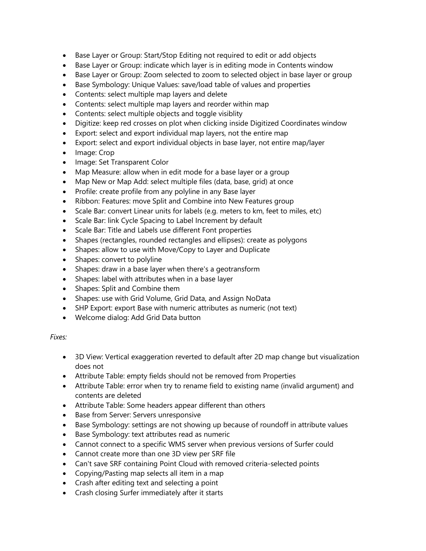- Base Layer or Group: Start/Stop Editing not required to edit or add objects
- Base Layer or Group: indicate which layer is in editing mode in Contents window
- Base Layer or Group: Zoom selected to zoom to selected object in base layer or group
- Base Symbology: Unique Values: save/load table of values and properties
- Contents: select multiple map layers and delete
- Contents: select multiple map layers and reorder within map
- Contents: select multiple objects and toggle visiblity
- Digitize: keep red crosses on plot when clicking inside Digitized Coordinates window
- Export: select and export individual map layers, not the entire map
- Export: select and export individual objects in base layer, not entire map/layer
- Image: Crop
- Image: Set Transparent Color
- Map Measure: allow when in edit mode for a base layer or a group
- Map New or Map Add: select multiple files (data, base, grid) at once
- Profile: create profile from any polyline in any Base layer
- Ribbon: Features: move Split and Combine into New Features group
- Scale Bar: convert Linear units for labels (e.g. meters to km, feet to miles, etc)
- Scale Bar: link Cycle Spacing to Label Increment by default
- Scale Bar: Title and Labels use different Font properties
- Shapes (rectangles, rounded rectangles and ellipses): create as polygons
- Shapes: allow to use with Move/Copy to Layer and Duplicate
- Shapes: convert to polyline
- Shapes: draw in a base layer when there's a geotransform
- Shapes: label with attributes when in a base layer
- Shapes: Split and Combine them
- Shapes: use with Grid Volume, Grid Data, and Assign NoData
- SHP Export: export Base with numeric attributes as numeric (not text)
- Welcome dialog: Add Grid Data button

#### *Fixes:*

- 3D View: Vertical exaggeration reverted to default after 2D map change but visualization does not
- Attribute Table: empty fields should not be removed from Properties
- Attribute Table: error when try to rename field to existing name (invalid argument) and contents are deleted
- Attribute Table: Some headers appear different than others
- Base from Server: Servers unresponsive
- Base Symbology: settings are not showing up because of roundoff in attribute values
- Base Symbology: text attributes read as numeric
- Cannot connect to a specific WMS server when previous versions of Surfer could
- Cannot create more than one 3D view per SRF file
- Can't save SRF containing Point Cloud with removed criteria-selected points
- Copying/Pasting map selects all item in a map
- Crash after editing text and selecting a point
- Crash closing Surfer immediately after it starts